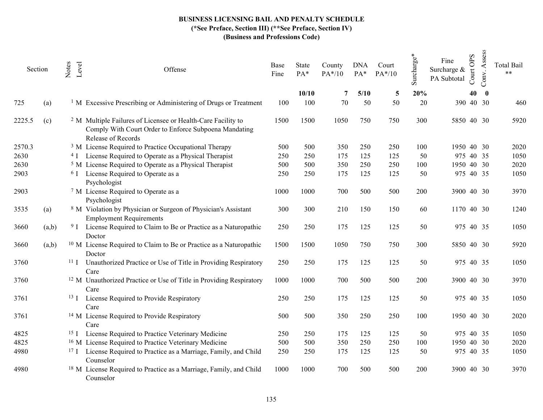| Section |       | Notes | Level           | Offense                                                                                                                                                | Base<br>Fine | State<br>$PA*$ | County<br>$PA*/10$ | <b>DNA</b><br>$PA*$ | Court<br>PA*/10 | Surcharge* | <b>OPS</b><br>Fine<br>Surcharge &<br>Court<br>PA Subtotal | Assess<br>Conv.    | <b>Total Bail</b><br>$**$ |
|---------|-------|-------|-----------------|--------------------------------------------------------------------------------------------------------------------------------------------------------|--------------|----------------|--------------------|---------------------|-----------------|------------|-----------------------------------------------------------|--------------------|---------------------------|
|         |       |       |                 |                                                                                                                                                        |              | 10/10          | 7                  | 5/10                | 5               | 20%        |                                                           | 40<br>$\mathbf{0}$ |                           |
| 725     | (a)   |       |                 | <sup>1</sup> M Excessive Prescribing or Administering of Drugs or Treatment                                                                            | 100          | 100            | 70                 | 50                  | 50              | 20         | 390 40 30                                                 |                    | 460                       |
| 2225.5  | (c)   |       |                 | <sup>2</sup> M Multiple Failures of Licensee or Health-Care Facility to<br>Comply With Court Order to Enforce Subpoena Mandating<br>Release of Records | 1500         | 1500           | 1050               | 750                 | 750             | 300        | 5850 40 30                                                |                    | 5920                      |
| 2570.3  |       |       |                 | <sup>3</sup> M License Required to Practice Occupational Therapy                                                                                       | 500          | 500            | 350                | 250                 | 250             | 100        | 1950 40 30                                                |                    | 2020                      |
| 2630    |       |       |                 | <sup>4</sup> I License Required to Operate as a Physical Therapist                                                                                     | 250          | 250            | 175                | 125                 | 125             | 50         | 975 40 35                                                 |                    | 1050                      |
| 2630    |       |       |                 | <sup>5</sup> M License Required to Operate as a Physical Therapist                                                                                     | 500          | 500            | 350                | 250                 | 250             | 100        | 1950 40 30                                                |                    | 2020                      |
| 2903    |       |       |                 | <sup>6</sup> I License Required to Operate as a<br>Psychologist                                                                                        | 250          | 250            | 175                | 125                 | 125             | 50         | 975 40 35                                                 |                    | 1050                      |
| 2903    |       |       |                 | <sup>7</sup> M License Required to Operate as a<br>Psychologist                                                                                        | 1000         | 1000           | 700                | 500                 | 500             | 200        | 3900 40 30                                                |                    | 3970                      |
| 3535    | (a)   |       |                 | <sup>8</sup> M Violation by Physician or Surgeon of Physician's Assistant<br><b>Employment Requirements</b>                                            | 300          | 300            | 210                | 150                 | 150             | 60         | 1170 40 30                                                |                    | 1240                      |
| 3660    | (a,b) |       |                 | <sup>9</sup> I License Required to Claim to Be or Practice as a Naturopathic<br>Doctor                                                                 | 250          | 250            | 175                | 125                 | 125             | 50         | 975 40 35                                                 |                    | 1050                      |
| 3660    | (a,b) |       |                 | <sup>10</sup> M License Required to Claim to Be or Practice as a Naturopathic<br>Doctor                                                                | 1500         | 1500           | 1050               | 750                 | 750             | 300        | 5850 40 30                                                |                    | 5920                      |
| 3760    |       |       |                 | <sup>11</sup> I Unauthorized Practice or Use of Title in Providing Respiratory<br>Care                                                                 | 250          | 250            | 175                | 125                 | 125             | 50         | 975 40 35                                                 |                    | 1050                      |
| 3760    |       |       |                 | <sup>12</sup> M Unauthorized Practice or Use of Title in Providing Respiratory<br>Care                                                                 | 1000         | 1000           | 700                | 500                 | 500             | 200        | 3900 40 30                                                |                    | 3970                      |
| 3761    |       |       |                 | <sup>13</sup> I License Required to Provide Respiratory<br>Care                                                                                        | 250          | 250            | 175                | 125                 | 125             | 50         | 975 40 35                                                 |                    | 1050                      |
| 3761    |       |       |                 | <sup>14</sup> M License Required to Provide Respiratory<br>Care                                                                                        | 500          | 500            | 350                | 250                 | 250             | 100        | 1950 40 30                                                |                    | 2020                      |
| 4825    |       |       | 15 <sub>I</sub> | License Required to Practice Veterinary Medicine                                                                                                       | 250          | 250            | 175                | 125                 | 125             | 50         | 975 40 35                                                 |                    | 1050                      |
| 4825    |       |       |                 | <sup>16</sup> M License Required to Practice Veterinary Medicine                                                                                       | 500          | 500            | 350                | 250                 | 250             | 100        | 1950 40 30                                                |                    | 2020                      |
| 4980    |       |       | $^{17}$ I       | License Required to Practice as a Marriage, Family, and Child<br>Counselor                                                                             | 250          | 250            | 175                | 125                 | 125             | 50         | 975 40 35                                                 |                    | 1050                      |
| 4980    |       |       |                 | <sup>18</sup> M License Required to Practice as a Marriage, Family, and Child<br>Counselor                                                             | 1000         | 1000           | 700                | 500                 | 500             | 200        | 3900 40 30                                                |                    | 3970                      |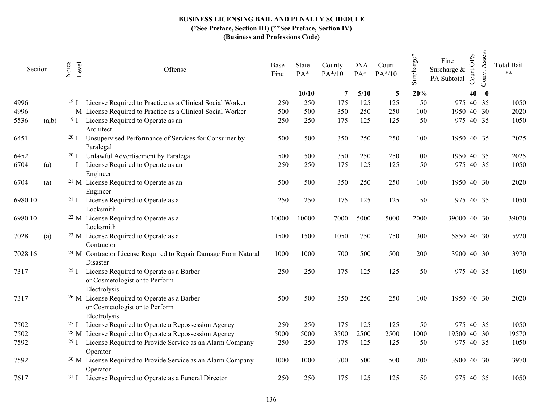| Section |       | Notes<br>Level  | Offense                                                                                                   | Base<br>Fine | State<br>PA* | County<br>$PA*/10$ | <b>DNA</b><br>PA* | Court<br>$PA*/10$ | $\mathrm{Surcharge}^*$ | Fine<br>Surcharge &<br>PA Subtotal | <b>OPS</b><br>Court | Assess<br>Conv. | <b>Total Bail</b><br>$**$ |
|---------|-------|-----------------|-----------------------------------------------------------------------------------------------------------|--------------|--------------|--------------------|-------------------|-------------------|------------------------|------------------------------------|---------------------|-----------------|---------------------------|
|         |       |                 |                                                                                                           |              | 10/10        | 7                  | 5/10              | 5                 | 20%                    |                                    | 40                  | $\bf{0}$        |                           |
| 4996    |       | 19 <sub>1</sub> | License Required to Practice as a Clinical Social Worker                                                  | 250          | 250          | 175                | 125               | 125               | 50                     | 975 40 35                          |                     |                 | 1050                      |
| 4996    |       |                 | M License Required to Practice as a Clinical Social Worker                                                | 500          | 500          | 350                | 250               | 250               | 100                    | 1950 40 30                         |                     |                 | 2020                      |
| 5536    | (a,b) | 19 <sub>I</sub> | License Required to Operate as an<br>Architect                                                            | 250          | 250          | 175                | 125               | 125               | 50                     | 975 40 35                          |                     |                 | 1050                      |
| 6451    |       | 20 <sub>I</sub> | Unsupervised Performance of Services for Consumer by<br>Paralegal                                         | 500          | 500          | 350                | 250               | 250               | 100                    | 1950 40 35                         |                     |                 | 2025                      |
| 6452    |       | 20 <sub>I</sub> | Unlawful Advertisement by Paralegal                                                                       | 500          | 500          | 350                | 250               | 250               | 100                    | 1950 40 35                         |                     |                 | 2025                      |
| 6704    | (a)   |                 | License Required to Operate as an<br>Engineer                                                             | 250          | 250          | 175                | 125               | 125               | 50                     | 975 40 35                          |                     |                 | 1050                      |
| 6704    | (a)   |                 | <sup>21</sup> M License Required to Operate as an<br>Engineer                                             | 500          | 500          | 350                | 250               | 250               | 100                    | 1950 40 30                         |                     |                 | 2020                      |
| 6980.10 |       | 21 <sub>I</sub> | License Required to Operate as a<br>Locksmith                                                             | 250          | 250          | 175                | 125               | 125               | 50                     | 975 40 35                          |                     |                 | 1050                      |
| 6980.10 |       |                 | <sup>22</sup> M License Required to Operate as a<br>Locksmith                                             | 10000        | 10000        | 7000               | 5000              | 5000              | 2000                   | 39000 40 30                        |                     |                 | 39070                     |
| 7028    | (a)   |                 | <sup>23</sup> M License Required to Operate as a<br>Contractor                                            | 1500         | 1500         | 1050               | 750               | 750               | 300                    | 5850 40 30                         |                     |                 | 5920                      |
| 7028.16 |       |                 | <sup>24</sup> M Contractor License Required to Repair Damage From Natural<br>Disaster                     | 1000         | 1000         | 700                | 500               | 500               | 200                    | 3900 40 30                         |                     |                 | 3970                      |
| 7317    |       | $25 \text{ J}$  | License Required to Operate as a Barber<br>or Cosmetologist or to Perform<br>Electrolysis                 | 250          | 250          | 175                | 125               | 125               | 50                     | 975 40 35                          |                     |                 | 1050                      |
| 7317    |       |                 | <sup>26</sup> M License Required to Operate as a Barber<br>or Cosmetologist or to Perform<br>Electrolysis | 500          | 500          | 350                | 250               | 250               | 100                    | 1950 40 30                         |                     |                 | 2020                      |
| 7502    |       | 27 <sub>I</sub> | License Required to Operate a Repossession Agency                                                         | 250          | 250          | 175                | 125               | 125               | 50                     | 975 40 35                          |                     |                 | 1050                      |
| 7502    |       |                 | <sup>28</sup> M License Required to Operate a Repossession Agency                                         | 5000         | 5000         | 3500               | 2500              | 2500              | 1000                   | 19500 40 30                        |                     |                 | 19570                     |
| 7592    |       | 29 <sub>I</sub> | License Required to Provide Service as an Alarm Company<br>Operator                                       | 250          | 250          | 175                | 125               | 125               | 50                     | 975 40 35                          |                     |                 | 1050                      |
| 7592    |       |                 | <sup>30</sup> M License Required to Provide Service as an Alarm Company<br>Operator                       | 1000         | 1000         | 700                | 500               | 500               | 200                    | 3900 40 30                         |                     |                 | 3970                      |
| 7617    |       |                 | <sup>31</sup> I License Required to Operate as a Funeral Director                                         | 250          | 250          | 175                | 125               | 125               | 50                     | 975 40 35                          |                     |                 | 1050                      |
|         |       |                 |                                                                                                           |              |              |                    |                   |                   |                        |                                    |                     |                 |                           |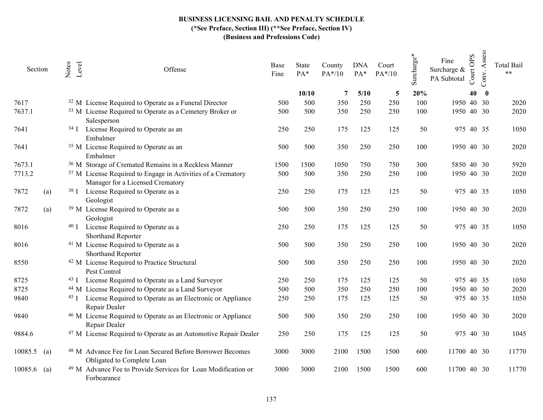| Section       |     | Notes  | Level | Offense                                                                                                     | Base<br>Fine | State<br>PA* | County<br>$PA*/10$ | <b>DNA</b><br>$PA*$ | Court<br>$PA*/10$ | Surcharge* | Fine<br>Surcharge &<br>PA Subtotal | <b>OPS</b><br>Court | Assess<br>Conv. | <b>Total Bail</b><br>$**$ |
|---------------|-----|--------|-------|-------------------------------------------------------------------------------------------------------------|--------------|--------------|--------------------|---------------------|-------------------|------------|------------------------------------|---------------------|-----------------|---------------------------|
|               |     |        |       |                                                                                                             |              | 10/10        | 7                  | 5/10                | 5                 | 20%        |                                    | 40                  | $\bf{0}$        |                           |
| 7617          |     |        |       | <sup>32</sup> M License Required to Operate as a Funeral Director                                           | 500          | 500          | 350                | 250                 | 250               | 100        | 1950 40 30                         |                     |                 | 2020                      |
| 7637.1        |     |        |       | <sup>33</sup> M License Required to Operate as a Cemetery Broker or<br>Salesperson                          | 500          | 500          | 350                | 250                 | 250               | 100        | 1950 40 30                         |                     |                 | 2020                      |
| 7641          |     |        |       | <sup>34</sup> I License Required to Operate as an<br>Embalmer                                               | 250          | 250          | 175                | 125                 | 125               | 50         | 975 40 35                          |                     |                 | 1050                      |
| 7641          |     |        |       | <sup>35</sup> M License Required to Operate as an<br>Embalmer                                               | 500          | 500          | 350                | 250                 | 250               | 100        | 1950 40 30                         |                     |                 | 2020                      |
| 7673.1        |     |        |       | <sup>36</sup> M Storage of Cremated Remains in a Reckless Manner                                            | 1500         | 1500         | 1050               | 750                 | 750               | 300        | 5850 40 30                         |                     |                 | 5920                      |
| 7713.2        |     |        |       | <sup>37</sup> M License Required to Engage in Activities of a Crematory<br>Manager for a Licensed Crematory | 500          | 500          | 350                | 250                 | 250               | 100        | 1950 40 30                         |                     |                 | 2020                      |
| 7872          | (a) |        |       | <sup>38</sup> I License Required to Operate as a<br>Geologist                                               | 250          | 250          | 175                | 125                 | 125               | 50         | 975 40 35                          |                     |                 | 1050                      |
| 7872          | (a) |        |       | <sup>39</sup> M License Required to Operate as a<br>Geologist                                               | 500          | 500          | 350                | 250                 | 250               | 100        | 1950 40 30                         |                     |                 | 2020                      |
| 8016          |     |        |       | <sup>40</sup> I License Required to Operate as a<br>Shorthand Reporter                                      | 250          | 250          | 175                | 125                 | 125               | 50         | 975 40 35                          |                     |                 | 1050                      |
| 8016          |     |        |       | <sup>41</sup> M License Required to Operate as a<br>Shorthand Reporter                                      | 500          | 500          | 350                | 250                 | 250               | 100        | 1950 40 30                         |                     |                 | 2020                      |
| 8550          |     |        |       | <sup>42</sup> M License Required to Practice Structural<br>Pest Control                                     | 500          | 500          | 350                | 250                 | 250               | 100        | 1950 40 30                         |                     |                 | 2020                      |
| 8725          |     |        |       | <sup>43</sup> I License Required to Operate as a Land Surveyor                                              | 250          | 250          | 175                | 125                 | 125               | 50         | 975 40 35                          |                     |                 | 1050                      |
| 8725          |     |        |       | <sup>44</sup> M License Required to Operate as a Land Surveyor                                              | 500          | 500          | 350                | 250                 | 250               | 100        | 1950 40 30                         |                     |                 | 2020                      |
| 9840          |     | $45$ I |       | License Required to Operate as an Electronic or Appliance<br>Repair Dealer                                  | 250          | 250          | 175                | 125                 | 125               | 50         | 975 40 35                          |                     |                 | 1050                      |
| 9840          |     |        |       | <sup>46</sup> M License Required to Operate as an Electronic or Appliance<br>Repair Dealer                  | 500          | 500          | 350                | 250                 | 250               | 100        | 1950 40 30                         |                     |                 | 2020                      |
| 9884.6        |     |        |       | <sup>47</sup> M License Required to Operate as an Automotive Repair Dealer                                  | 250          | 250          | 175                | 125                 | 125               | 50         | 975 40 30                          |                     |                 | 1045                      |
| $10085.5$ (a) |     |        |       | <sup>48</sup> M Advance Fee for Loan Secured Before Borrower Becomes<br>Obligated to Complete Loan          | 3000         | 3000         | 2100               | 1500                | 1500              | 600        | 11700 40 30                        |                     |                 | 11770                     |
| $10085.6$ (a) |     |        |       | <sup>49</sup> M Advance Fee to Provide Services for Loan Modification or<br>Forbearance                     | 3000         | 3000         | 2100               | 1500                | 1500              | 600        | 11700 40 30                        |                     |                 | 11770                     |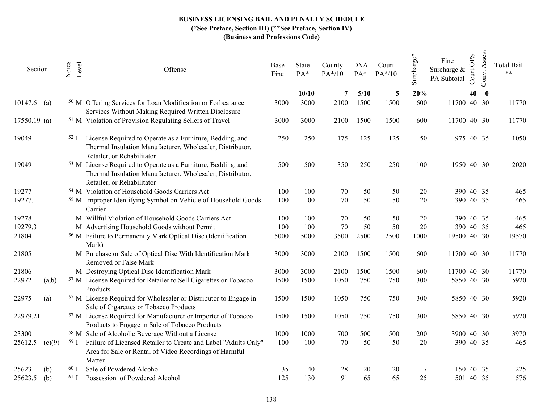| Section       |        | Notes<br>Level  | Offense                                                                                                                                                             | Base<br>Fine | State<br>PA* | County<br>$PA*/10$ | <b>DNA</b><br>$PA*$ | Court<br>$PA*/10$ | Surcharge* | Fine<br>Surcharge &<br>PA Subtotal | <b>OPS</b><br>Court | Assess<br>Conv. | <b>Total Bail</b><br>$***$ |
|---------------|--------|-----------------|---------------------------------------------------------------------------------------------------------------------------------------------------------------------|--------------|--------------|--------------------|---------------------|-------------------|------------|------------------------------------|---------------------|-----------------|----------------------------|
|               |        |                 |                                                                                                                                                                     |              | 10/10        | 7                  | 5/10                | 5                 | 20%        |                                    | 40                  | $\bf{0}$        |                            |
| $10147.6$ (a) |        |                 | <sup>50</sup> M Offering Services for Loan Modification or Forbearance<br>Services Without Making Required Written Disclosure                                       | 3000         | 3000         | 2100               | 1500                | 1500              | 600        | 11700 40 30                        |                     |                 | 11770                      |
| 17550.19 (a)  |        |                 | <sup>51</sup> M Violation of Provision Regulating Sellers of Travel                                                                                                 | 3000         | 3000         | 2100               | 1500                | 1500              | 600        | 11700 40 30                        |                     |                 | 11770                      |
| 19049         |        | 52 <sub>I</sub> | License Required to Operate as a Furniture, Bedding, and<br>Thermal Insulation Manufacturer, Wholesaler, Distributor,<br>Retailer, or Rehabilitator                 | 250          | 250          | 175                | 125                 | 125               | 50         | 975 40 35                          |                     |                 | 1050                       |
| 19049         |        |                 | <sup>53</sup> M License Required to Operate as a Furniture, Bedding, and<br>Thermal Insulation Manufacturer, Wholesaler, Distributor,<br>Retailer, or Rehabilitator | 500          | 500          | 350                | 250                 | 250               | 100        | 1950 40 30                         |                     |                 | 2020                       |
| 19277         |        |                 | <sup>54</sup> M Violation of Household Goods Carriers Act                                                                                                           | 100          | 100          | 70                 | 50                  | 50                | 20         | 390 40 35                          |                     |                 | 465                        |
| 19277.1       |        |                 | <sup>55</sup> M Improper Identifying Symbol on Vehicle of Household Goods<br>Carrier                                                                                | 100          | 100          | 70                 | 50                  | 50                | 20         | 390 40 35                          |                     |                 | 465                        |
| 19278         |        |                 | M Willful Violation of Household Goods Carriers Act                                                                                                                 | 100          | 100          | 70                 | 50                  | 50                | 20         | 390 40 35                          |                     |                 | 465                        |
| 19279.3       |        |                 | M Advertising Household Goods without Permit                                                                                                                        | 100          | 100          | $70\,$             | 50                  | 50                | 20         | 390 40 35                          |                     |                 | 465                        |
| 21804         |        |                 | <sup>56</sup> M Failure to Permanently Mark Optical Disc (Identification<br>Mark)                                                                                   | 5000         | 5000         | 3500               | 2500                | 2500              | 1000       | 19500 40 30                        |                     |                 | 19570                      |
| 21805         |        |                 | M Purchase or Sale of Optical Disc With Identification Mark<br>Removed or False Mark                                                                                | 3000         | 3000         | 2100               | 1500                | 1500              | 600        | 11700 40 30                        |                     |                 | 11770                      |
| 21806         |        |                 | M Destroying Optical Disc Identification Mark                                                                                                                       | 3000         | 3000         | 2100               | 1500                | 1500              | 600        | 11700 40 30                        |                     |                 | 11770                      |
| 22972         | (a,b)  |                 | <sup>57</sup> M License Required for Retailer to Sell Cigarettes or Tobacco<br>Products                                                                             | 1500         | 1500         | 1050               | 750                 | 750               | 300        | 5850 40 30                         |                     |                 | 5920                       |
| 22975         | (a)    |                 | <sup>57</sup> M License Required for Wholesaler or Distributor to Engage in<br>Sale of Cigarettes or Tobacco Products                                               | 1500         | 1500         | 1050               | 750                 | 750               | 300        | 5850 40 30                         |                     |                 | 5920                       |
| 22979.21      |        |                 | <sup>57</sup> M License Required for Manufacturer or Importer of Tobacco<br>Products to Engage in Sale of Tobacco Products                                          | 1500         | 1500         | 1050               | 750                 | 750               | 300        | 5850 40 30                         |                     |                 | 5920                       |
| 23300         |        |                 | <sup>58</sup> M Sale of Alcoholic Beverage Without a License                                                                                                        | 1000         | 1000         | 700                | 500                 | 500               | 200        | 3900 40 30                         |                     |                 | 3970                       |
| 25612.5       | (c)(9) |                 | <sup>59</sup> I Failure of Licensed Retailer to Create and Label "Adults Only"<br>Area for Sale or Rental of Video Recordings of Harmful<br>Matter                  | 100          | 100          | 70                 | 50                  | 50                | 20         | 390 40 35                          |                     |                 | 465                        |
| 25623         | (b)    | 60 J            | Sale of Powdered Alcohol                                                                                                                                            | 35           | 40           | 28                 | 20                  | 20                | 7          | 150 40 35                          |                     |                 | 225                        |
| 25623.5       | (b)    | $61$ I          | Possession of Powdered Alcohol                                                                                                                                      | 125          | 130          | 91                 | 65                  | 65                | 25         | 501 40 35                          |                     |                 | 576                        |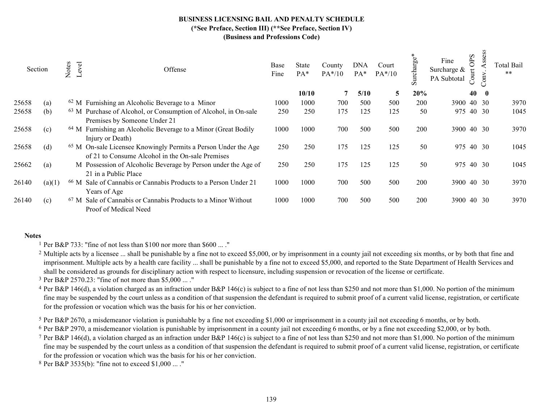|       | Section | Notes | Level | Offense                                                                                                                       | Base<br>Fine | State<br>$PA*$ | County<br>$PA*/10$ | <b>DNA</b><br>$PA^*$ | Court<br>$PA*/10$ | arge<br>urch<br>S | Fine<br>Surcharge &<br>PA Subtotal | OPS<br>$\cot$ | SS<br>$\overline{\mathbf{g}}$ | Total Bail<br>$***$ |
|-------|---------|-------|-------|-------------------------------------------------------------------------------------------------------------------------------|--------------|----------------|--------------------|----------------------|-------------------|-------------------|------------------------------------|---------------|-------------------------------|---------------------|
|       |         |       |       |                                                                                                                               |              | 10/10          | 7                  | 5/10                 | 5                 | 20%               |                                    | 40            | $\mathbf{0}$                  |                     |
| 25658 | (a)     |       |       | $62$ M Furnishing an Alcoholic Beverage to a Minor                                                                            | 1000         | 1000           | 700                | 500                  | 500               | 200               | 3900 40 30                         |               |                               | 3970                |
| 25658 | (b)     |       |       | <sup>63</sup> M Purchase of Alcohol, or Consumption of Alcohol, in On-sale<br>Premises by Someone Under 21                    | 250          | 250            | 175                | 125                  | 125               | 50                | 975 40 30                          |               |                               | 1045                |
| 25658 | (c)     |       |       | <sup>64</sup> M Furnishing an Alcoholic Beverage to a Minor (Great Bodily<br>Injury or Death)                                 | 1000         | 1000           | 700                | 500                  | 500               | 200               | 3900 40 30                         |               |                               | 3970                |
| 25658 | (d)     |       |       | <sup>65</sup> M On-sale Licensee Knowingly Permits a Person Under the Age<br>of 21 to Consume Alcohol in the On-sale Premises | 250          | 250            | 175                | 125                  | 125               | 50                | 975 40 30                          |               |                               | 1045                |
| 25662 | (a)     |       |       | M Possession of Alcoholic Beverage by Person under the Age of<br>21 in a Public Place                                         | 250          | 250            | 175                | 125                  | 125               | 50                | 975 40 30                          |               |                               | 1045                |
| 26140 | (a)(1)  |       |       | <sup>66</sup> M Sale of Cannabis or Cannabis Products to a Person Under 21<br>Years of Age                                    | 1000         | 1000           | 700                | 500                  | 500               | 200               | 3900 40 30                         |               |                               | 3970                |
| 26140 | (c)     |       |       | <sup>67</sup> M Sale of Cannabis or Cannabis Products to a Minor Without<br>Proof of Medical Need                             | 1000         | 1000           | 700                | 500                  | 500               | 200               | <b>3900</b>                        |               | 40 30                         | 3970                |

#### Notes

1 Per B&P 733: "fine of not less than \$100 nor more than \$600 ... ."

<sup>2</sup> Multiple acts by a licensee ... shall be punishable by a fine not to exceed \$5,000, or by imprisonment in a county jail not exceeding six months, or by both that fine and imprisonment. Multiple acts by a health care facility ... shall be punishable by a fine not to exceed \$5,000, and reported to the State Department of Health Services and shall be considered as grounds for disciplinary action with respect to licensure, including suspension or revocation of the license or certificate.

3 Per B&P 2570.23: "fine of not more than \$5,000 ... ."

<sup>4</sup> Per B&P 146(d), a violation charged as an infraction under B&P 146(c) is subject to a fine of not less than \$250 and not more than \$1,000. No portion of the minimum fine may be suspended by the court unless as a condition of that suspension the defendant is required to submit proof of a current valid license, registration, or certificate for the profession or vocation which was the basis for his or her conviction.

5 Per B&P 2670, a misdemeanor violation is punishable by a fine not exceeding \$1,000 or imprisonment in a county jail not exceeding 6 months, or by both.

<sup>6</sup> Per B&P 2970, a misdemeanor violation is punishable by imprisonment in a county jail not exceeding 6 months, or by a fine not exceeding \$2,000, or by both.

<sup>7</sup> Per B&P 146(d), a violation charged as an infraction under B&P 146(c) is subject to a fine of not less than \$250 and not more than \$1,000. No portion of the minimum fine may be suspended by the court unless as a condition of that suspension the defendant is required to submit proof of a current valid license, registration, or certificate for the profession or vocation which was the basis for his or her conviction.

8 Per B&P 3535(b): "fine not to exceed \$1,000 ... ."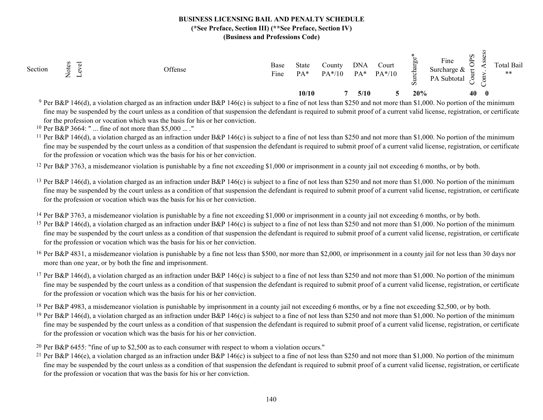| Section | ರ<br>∽<br>$\sim$ $\sim$ | Offense | Base<br>$\mathbf{r}$<br>Fine | State<br>$PA*$ | County<br>$PA*/10$ | <b>DNA</b><br>PA* | Court<br>$PA*/10$ | ਨ<br>$\boldsymbol{\mathcal{D}}$ | Fine<br>Surcharge &<br>PA Subtotal | Sdo<br>$\tilde{\mathbf{C}}$ |              | Total Bail<br>$\ast\ast$ |
|---------|-------------------------|---------|------------------------------|----------------|--------------------|-------------------|-------------------|---------------------------------|------------------------------------|-----------------------------|--------------|--------------------------|
|         |                         |         |                              | 10/10          |                    | 5/10              |                   | 20%                             |                                    | 40                          | $\mathbf{0}$ |                          |

<sup>9</sup> Per B&P 146(d), a violation charged as an infraction under B&P 146(c) is subject to a fine of not less than \$250 and not more than \$1,000. No portion of the minimum fine may be suspended by the court unless as a condition of that suspension the defendant is required to submit proof of a current valid license, registration, or certificate for the profession or vocation which was the basis for his or her conviction.

10 Per B&P 3664: " ... fine of not more than \$5,000 ... ."

<sup>11</sup> Per B&P 146(d), a violation charged as an infraction under B&P 146(c) is subject to a fine of not less than \$250 and not more than \$1,000. No portion of the minimum fine may be suspended by the court unless as a condition of that suspension the defendant is required to submit proof of a current valid license, registration, or certificate for the profession or vocation which was the basis for his or her conviction.

<sup>12</sup> Per B&P 3763, a misdemeanor violation is punishable by a fine not exceeding \$1,000 or imprisonment in a county jail not exceeding 6 months, or by both.

<sup>13</sup> Per B&P 146(d), a violation charged as an infraction under B&P 146(c) is subject to a fine of not less than \$250 and not more than \$1,000. No portion of the minimum fine may be suspended by the court unless as a condition of that suspension the defendant is required to submit proof of a current valid license, registration, or certificate for the profession or vocation which was the basis for his or her conviction.

<sup>14</sup> Per B&P 3763, a misdemeanor violation is punishable by a fine not exceeding \$1,000 or imprisonment in a county jail not exceeding 6 months, or by both.

- <sup>15</sup> Per B&P 146(d), a violation charged as an infraction under B&P 146(c) is subject to a fine of not less than \$250 and not more than \$1,000. No portion of the minimum fine may be suspended by the court unless as a condition of that suspension the defendant is required to submit proof of a current valid license, registration, or certificate for the profession or vocation which was the basis for his or her conviction.
- <sup>16</sup> Per B&P 4831, a misdemeanor violation is punishable by a fine not less than \$500, nor more than \$2,000, or imprisonment in a county jail for not less than 30 days nor more than one year, or by both the fine and imprisonment.
- <sup>17</sup> Per B&P 146(d), a violation charged as an infraction under B&P 146(c) is subject to a fine of not less than \$250 and not more than \$1,000. No portion of the minimum fine may be suspended by the court unless as a condition of that suspension the defendant is required to submit proof of a current valid license, registration, or certificate for the profession or vocation which was the basis for his or her conviction.

<sup>18</sup> Per B&P 4983, a misdemeanor violation is punishable by imprisonment in a county jail not exceeding 6 months, or by a fine not exceeding \$2,500, or by both.

- <sup>19</sup> Per B&P 146(d), a violation charged as an infraction under B&P 146(c) is subject to a fine of not less than \$250 and not more than \$1,000. No portion of the minimum fine may be suspended by the court unless as a condition of that suspension the defendant is required to submit proof of a current valid license, registration, or certificate for the profession or vocation which was the basis for his or her conviction.
- <sup>20</sup> Per B&P 6455: "fine of up to \$2,500 as to each consumer with respect to whom a violation occurs."
- <sup>21</sup> Per B&P 146(e), a violation charged as an infraction under B&P 146(c) is subject to a fine of not less than \$250 and not more than \$1,000. No portion of the minimum fine may be suspended by the court unless as a condition of that suspension the defendant is required to submit proof of a current valid license, registration, or certificate for the profession or vocation that was the basis for his or her conviction.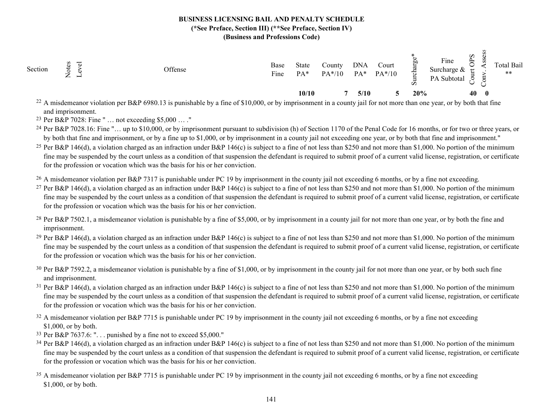| Section<br>ಕ<br>$\leftarrow$<br>$\overline{\phantom{0}}$ | Offense | Base<br>$\overline{\phantom{a}}$<br>Fine | State<br>$PA*$ | County<br>$PA*/10$ | <b>DNA</b><br>$PA*$ | Court<br>$PA*/10$ | $\div$<br>$\boldsymbol{\omega}$ | Fine<br>Surcharge $&$<br>PA Subtotal | S<br>$\approx$ |              | Total Bail<br>** |  |
|----------------------------------------------------------|---------|------------------------------------------|----------------|--------------------|---------------------|-------------------|---------------------------------|--------------------------------------|----------------|--------------|------------------|--|
|                                                          |         |                                          | 10/10          |                    | 5/10                |                   | 20%                             |                                      | 40             | $\mathbf{0}$ |                  |  |

<sup>22</sup> A misdemeanor violation per B&P 6980.13 is punishable by a fine of \$10,000, or by imprisonment in a county jail for not more than one year, or by both that fine and imprisonment.

23 Per B&P 7028: Fine " … not exceeding \$5,000 … ."

<sup>24</sup> Per B&P 7028.16: Fine "... up to \$10,000, or by imprisonment pursuant to subdivision (h) of Section 1170 of the Penal Code for 16 months, or for two or three years, or by both that fine and imprisonment, or by a fine up to \$1,000, or by imprisonment in a county jail not exceeding one year, or by both that fine and imprisonment."

<sup>25</sup> Per B&P 146(d), a violation charged as an infraction under B&P 146(c) is subject to a fine of not less than \$250 and not more than \$1,000. No portion of the minimum fine may be suspended by the court unless as a condition of that suspension the defendant is required to submit proof of a current valid license, registration, or certificate for the profession or vocation which was the basis for his or her conviction.

<sup>26</sup> A misdemeanor violation per B&P 7317 is punishable under PC 19 by imprisonment in the county jail not exceeding 6 months, or by a fine not exceeding.

<sup>27</sup> Per B&P 146(d), a violation charged as an infraction under B&P 146(c) is subject to a fine of not less than \$250 and not more than \$1,000. No portion of the minimum fine may be suspended by the court unless as a condition of that suspension the defendant is required to submit proof of a current valid license, registration, or certificate for the profession or vocation which was the basis for his or her conviction.

- <sup>28</sup> Per B&P 7502.1, a misdemeanor violation is punishable by a fine of \$5,000, or by imprisonment in a county jail for not more than one year, or by both the fine and imprisonment.
- <sup>29</sup> Per B&P 146(d), a violation charged as an infraction under B&P 146(c) is subject to a fine of not less than \$250 and not more than \$1,000. No portion of the minimum fine may be suspended by the court unless as a condition of that suspension the defendant is required to submit proof of a current valid license, registration, or certificate for the profession or vocation which was the basis for his or her conviction.

 $30$  Per B&P 7592.2, a misdemeanor violation is punishable by a fine of \$1,000, or by imprisonment in the county jail for not more than one year, or by both such fine and imprisonment.

- <sup>31</sup> Per B&P 146(d), a violation charged as an infraction under B&P 146(c) is subject to a fine of not less than \$250 and not more than \$1,000. No portion of the minimum fine may be suspended by the court unless as a condition of that suspension the defendant is required to submit proof of a current valid license, registration, or certificate for the profession or vocation which was the basis for his or her conviction.
- $32$  A misdemeanor violation per B&P 7715 is punishable under PC 19 by imprisonment in the county jail not exceeding 6 months, or by a fine not exceeding \$1,000, or by both.
- <sup>33</sup> Per B&P 7637.6: " $\dots$  punished by a fine not to exceed \$5,000."
- <sup>34</sup> Per B&P 146(d), a violation charged as an infraction under B&P 146(c) is subject to a fine of not less than \$250 and not more than \$1,000. No portion of the minimum fine may be suspended by the court unless as a condition of that suspension the defendant is required to submit proof of a current valid license, registration, or certificate for the profession or vocation which was the basis for his or her conviction.
- <sup>35</sup> A misdemeanor violation per B&P 7715 is punishable under PC 19 by imprisonment in the county jail not exceeding 6 months, or by a fine not exceeding \$1,000, or by both.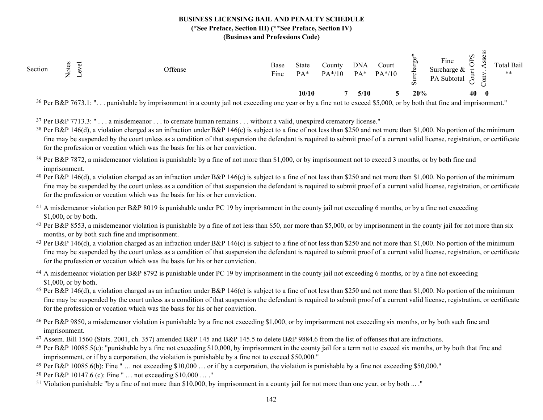| Section | ↽<br>$\star$<br>$\overline{}$<br>−<br>$\leftarrow$ | Offense                                                             | Base<br>┳.<br>Fine | State<br>PA* | County<br>$PA*/10$   | <b>DNA</b><br>PA* | Court<br>$PA*/10$ | ਨ   | Fine<br>Surcharge $&$<br>PA Subtotal | S<br>$\approx$<br>ى |              | Total Bail<br>$***$ |
|---------|----------------------------------------------------|---------------------------------------------------------------------|--------------------|--------------|----------------------|-------------------|-------------------|-----|--------------------------------------|---------------------|--------------|---------------------|
|         |                                                    |                                                                     |                    | 10/10        |                      | 5/10              |                   | 20% |                                      | 40                  | $\mathbf{0}$ |                     |
|         | $26 \, \text{m}$ popmanium                         | the contract of the contract of<br>$-1$ $-1$ $-1$ $-1$<br>$\cdot$ . |                    |              | $\sim$ $\sim$ $\sim$ |                   | 1.07.00           |     | $\sim$<br>$-1$ $-1$ $-2$             |                     |              |                     |

<sup>36</sup> Per B&P 7673.1: "... punishable by imprisonment in a county jail not exceeding one year or by a fine not to exceed \$5,000, or by both that fine and imprisonment."

37 Per B&P 7713.3: " . . . a misdemeanor . . . to cremate human remains . . . without a valid, unexpired crematory license."

- <sup>38</sup> Per B&P 146(d), a violation charged as an infraction under B&P 146(c) is subject to a fine of not less than \$250 and not more than \$1,000. No portion of the minimum fine may be suspended by the court unless as a condition of that suspension the defendant is required to submit proof of a current valid license, registration, or certificate for the profession or vocation which was the basis for his or her conviction.
- <sup>39</sup> Per B&P 7872, a misdemeanor violation is punishable by a fine of not more than \$1,000, or by imprisonment not to exceed 3 months, or by both fine and imprisonment.
- <sup>40</sup> Per B&P 146(d), a violation charged as an infraction under B&P 146(c) is subject to a fine of not less than \$250 and not more than \$1,000. No portion of the minimum fine may be suspended by the court unless as a condition of that suspension the defendant is required to submit proof of a current valid license, registration, or certificate for the profession or vocation which was the basis for his or her conviction.
- <sup>41</sup> A misdemeanor violation per B&P 8019 is punishable under PC 19 by imprisonment in the county jail not exceeding 6 months, or by a fine not exceeding \$1,000, or by both.
- <sup>42</sup> Per B&P 8553, a misdemeanor violation is punishable by a fine of not less than \$50, nor more than \$5,000, or by imprisonment in the county jail for not more than six months, or by both such fine and imprisonment.
- <sup>43</sup> Per B&P 146(d), a violation charged as an infraction under B&P 146(c) is subject to a fine of not less than \$250 and not more than \$1,000. No portion of the minimum fine may be suspended by the court unless as a condition of that suspension the defendant is required to submit proof of a current valid license, registration, or certificate for the profession or vocation which was the basis for his or her conviction.
- <sup>44</sup> A misdemeanor violation per B&P 8792 is punishable under PC 19 by imprisonment in the county jail not exceeding 6 months, or by a fine not exceeding \$1,000, or by both.
- <sup>45</sup> Per B&P 146(d), a violation charged as an infraction under B&P 146(c) is subject to a fine of not less than \$250 and not more than \$1,000. No portion of the minimum fine may be suspended by the court unless as a condition of that suspension the defendant is required to submit proof of a current valid license, registration, or certificate for the profession or vocation which was the basis for his or her conviction.
- 46 Per B&P 9850, a misdemeanor violation is punishable by a fine not exceeding \$1,000, or by imprisonment not exceeding six months, or by both such fine and imprisonment.
- 47 Assem. Bill 1560 (Stats. 2001, ch. 357) amended B&P 145 and B&P 145.5 to delete B&P 9884.6 from the list of offenses that are infractions.
- 48 Per B&P 10085.5(c): "punishable by a fine not exceeding \$10,000, by imprisonment in the county jail for a term not to exceed six months, or by both that fine and imprisonment, or if by a corporation, the violation is punishable by a fine not to exceed \$50,000."
- <sup>49</sup> Per B&P 10085.6(b): Fine " ... not exceeding \$10,000 ... or if by a corporation, the violation is punishable by a fine not exceeding \$50,000."
- 50 Per B&P 10147.6 (c): Fine " … not exceeding \$10,000 … ."
- <sup>51</sup> Violation punishable "by a fine of not more than \$10,000, by imprisonment in a county jail for not more than one year, or by both ... ."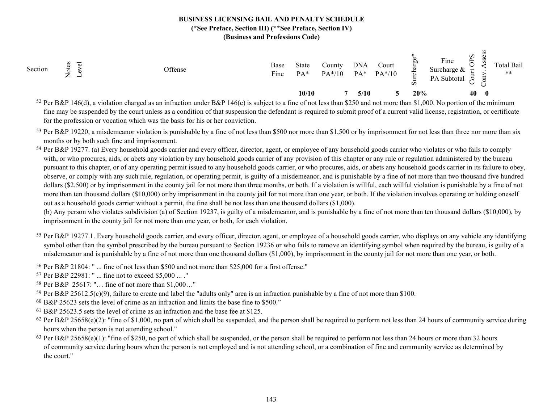| Section | ್<br>ೆ<br>$\overline{}$<br>$\overline{\phantom{0}}$<br>$\leftarrow$ | Offense | Base<br>Fine | State<br>$PA*$ | Countv<br>$PA*/10$ | <b>DNA</b><br>$PA*$ | Court<br>$PA*/10$ | ಕ<br>$\boldsymbol{\omega}$ | Fine<br>Surcharge $\&$<br>PA Subtotal | $\boldsymbol{\omega}$<br>$\mathbf{r}$<br>⊶ |              | <b>Total Bail</b><br>$***$ |
|---------|---------------------------------------------------------------------|---------|--------------|----------------|--------------------|---------------------|-------------------|----------------------------|---------------------------------------|--------------------------------------------|--------------|----------------------------|
|         |                                                                     |         |              | 10/10          |                    | 5/10                |                   | 20%                        |                                       | 40                                         | $\mathbf{0}$ |                            |

<sup>52</sup> Per B&P 146(d), a violation charged as an infraction under B&P 146(c) is subject to a fine of not less than \$250 and not more than \$1,000. No portion of the minimum fine may be suspended by the court unless as a condition of that suspension the defendant is required to submit proof of a current valid license, registration, or certificate for the profession or vocation which was the basis for his or her conviction.

53 Per B&P 19220, a misdemeanor violation is punishable by a fine of not less than \$500 nor more than \$1,500 or by imprisonment for not less than three nor more than six months or by both such fine and imprisonment.

54 Per B&P 19277. (a) Every household goods carrier and every officer, director, agent, or employee of any household goods carrier who violates or who fails to comply with, or who procures, aids, or abets any violation by any household goods carrier of any provision of this chapter or any rule or regulation administered by the bureau pursuant to this chapter, or of any operating permit issued to any household goods carrier, or who procures, aids, or abets any household goods carrier in its failure to obey, observe, or comply with any such rule, regulation, or operating permit, is guilty of a misdemeanor, and is punishable by a fine of not more than two thousand five hundred dollars (\$2,500) or by imprisonment in the county jail for not more than three months, or both. If a violation is willful, each willful violation is punishable by a fine of not more than ten thousand dollars (\$10,000) or by imprisonment in the county jail for not more than one year, or both. If the violation involves operating or holding oneself out as a household goods carrier without a permit, the fine shall be not less than one thousand dollars (\$1,000).

(b) Any person who violates subdivision (a) of Section 19237, is guilty of a misdemeanor, and is punishable by a fine of not more than ten thousand dollars (\$10,000), by imprisonment in the county jail for not more than one year, or both, for each violation.

- 55 Per B&P 19277.1. Every household goods carrier, and every officer, director, agent, or employee of a household goods carrier, who displays on any vehicle any identifying symbol other than the symbol prescribed by the bureau pursuant to Section 19236 or who fails to remove an identifying symbol when required by the bureau, is guilty of a misdemeanor and is punishable by a fine of not more than one thousand dollars (\$1,000), by imprisonment in the county jail for not more than one year, or both.
- 56 Per B&P 21804: " ... fine of not less than \$500 and not more than \$25,000 for a first offense."
- 57 Per B&P 22981: " ... fine not to exceed \$5,000 ... ."
- 58 Per B&P 25617: "… fine of not more than \$1,000…"
- <sup>59</sup> Per B&P 25612.5(c)(9), failure to create and label the "adults only" area is an infraction punishable by a fine of not more than \$100.
- 60 B&P 25623 sets the level of crime as an infraction and limits the base fine to \$500."
- 61 B&P 25623.5 sets the level of crime as an infraction and the base fee at \$125.
- <sup>62</sup> Per B&P 25658(e)(2): "fine of \$1,000, no part of which shall be suspended, and the person shall be required to perform not less than 24 hours of community service during hours when the person is not attending school."
- $63$  Per B&P 25658(e)(1): "fine of \$250, no part of which shall be suspended, or the person shall be required to perform not less than 24 hours or more than 32 hours of community service during hours when the person is not employed and is not attending school, or a combination of fine and community service as determined by the court."